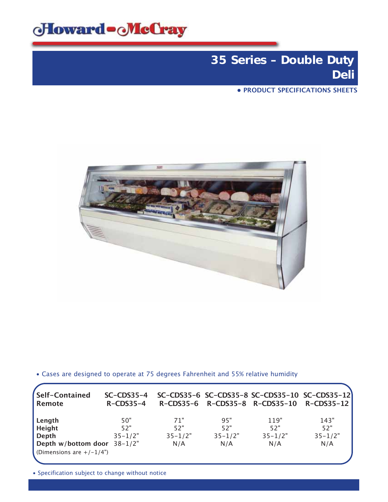

# **35 Series – Double Duty Deli**

**• PRODUCT SPECIFICATIONS SHEETS**



• Cases are designed to operate at 75 degrees Fahrenheit and 55% relative humidity

| Self-Contained<br>Remote       | $SC$ -CDS35-4<br>$R$ -CDS35-4 |             |             |             | SC-CDS35-6 SC-CDS35-8 SC-CDS35-10 SC-CDS35-12<br>R-CDS35-6 R-CDS35-8 R-CDS35-10 R-CDS35-12 |
|--------------------------------|-------------------------------|-------------|-------------|-------------|--------------------------------------------------------------------------------------------|
| Length<br>Height               | 50"<br>52"                    | 71"<br>52"  | 95"<br>52"  | 119"<br>52" | 143"<br>52"                                                                                |
| Depth                          | $35 - 1/2"$                   | $35 - 1/2"$ | $35 - 1/2"$ | $35 - 1/2"$ | $35 - 1/2"$                                                                                |
| Depth w/bottom door $38-1/2$ " |                               | N/A         | N/A         | N/A         | N/A                                                                                        |
| (Dimensions are $+/-1/4$ ")    |                               |             |             |             |                                                                                            |

• Specification subject to change without notice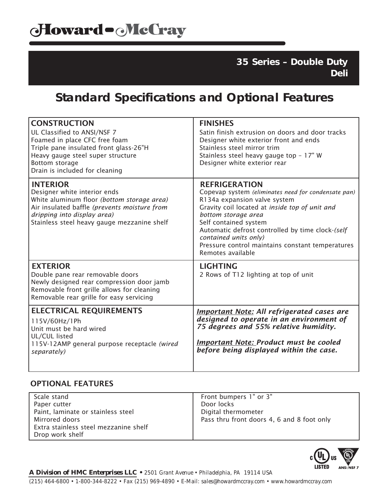**35 Series – Double Duty Deli**

## **Standard Specifications and Optional Features**

| <b>CONSTRUCTION</b><br>UL Classified to ANSI/NSF 7<br>Foamed in place CFC free foam<br>Triple pane insulated front glass-26"H<br>Heavy gauge steel super structure<br>Bottom storage<br>Drain is included for cleaning      | <b>FINISHES</b><br>Satin finish extrusion on doors and door tracks<br>Designer white exterior front and ends<br>Stainless steel mirror trim<br>Stainless steel heavy gauge top - 17" W<br>Designer white exterior rear                                                                                                                                              |
|-----------------------------------------------------------------------------------------------------------------------------------------------------------------------------------------------------------------------------|---------------------------------------------------------------------------------------------------------------------------------------------------------------------------------------------------------------------------------------------------------------------------------------------------------------------------------------------------------------------|
| <b>INTERIOR</b><br>Designer white interior ends<br>White aluminum floor (bottom storage area)<br>Air insulated baffle (prevents moisture from<br>dripping into display area)<br>Stainless steel heavy gauge mezzanine shelf | <b>REFRIGERATION</b><br>Copevap system (eliminates need for condensate pan)<br>R134a expansion valve system<br>Gravity coil located at inside top of unit and<br>bottom storage area<br>Self contained system<br>Automatic defrost controlled by time clock-(self<br>contained units only)<br>Pressure control maintains constant temperatures<br>Remotes available |
| <b>EXTERIOR</b><br>Double pane rear removable doors<br>Newly designed rear compression door jamb<br>Removable front grille allows for cleaning<br>Removable rear grille for easy servicing                                  | <b>LIGHTING</b><br>2 Rows of T12 lighting at top of unit                                                                                                                                                                                                                                                                                                            |
| <b>ELECTRICAL REQUIREMENTS</b><br>115V/60Hz/1Ph<br>Unit must be hard wired<br>UL/CUL listed<br>115V-12AMP general purpose receptacle (wired<br>separately)                                                                  | <b>Important Note: All refrigerated cases are</b><br>designed to operate in an environment of<br>75 degrees and 55% relative humidity.<br><b>Important Note: Product must be cooled</b><br>before being displayed within the case.                                                                                                                                  |

### OPTIONAL FEATURES

| Scale stand                           | Front bumpers 1" or 3"                     |
|---------------------------------------|--------------------------------------------|
| Paper cutter                          | Door locks                                 |
| Paint, laminate or stainless steel    | Digital thermometer                        |
| Mirrored doors                        | Pass thru front doors 4, 6 and 8 foot only |
| Extra stainless steel mezzanine shelf |                                            |
| Drop work shelf                       |                                            |

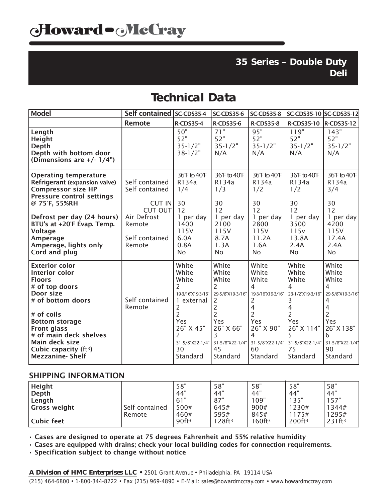### **35 Series – Double Duty Deli**

### **Technical Data**

| <b>Model</b>                                                                                                                                                                                                                                                                        | <b>Self contained</b>                                                                                      | SC-CDS35-4                                                                                                                                                       | <b>SC-CDS35-6</b>                                                                                                                                 | SC-CDS35-8                                                                                                                                                                            | SC-CDS35-10 SC-CDS35-12                                                                                                                     |                                                                                                                                             |
|-------------------------------------------------------------------------------------------------------------------------------------------------------------------------------------------------------------------------------------------------------------------------------------|------------------------------------------------------------------------------------------------------------|------------------------------------------------------------------------------------------------------------------------------------------------------------------|---------------------------------------------------------------------------------------------------------------------------------------------------|---------------------------------------------------------------------------------------------------------------------------------------------------------------------------------------|---------------------------------------------------------------------------------------------------------------------------------------------|---------------------------------------------------------------------------------------------------------------------------------------------|
|                                                                                                                                                                                                                                                                                     | <b>Remote</b>                                                                                              | <b>R-CDS35-4</b>                                                                                                                                                 | <b>R-CDS35-6</b>                                                                                                                                  | <b>R-CDS35-8</b>                                                                                                                                                                      | <b>R-CDS35-10</b>                                                                                                                           | <b>R-CDS35-12</b>                                                                                                                           |
| Length<br>Height<br>Depth<br>Depth with bottom door<br>(Dimensions are $+/- 1/4$ ")                                                                                                                                                                                                 |                                                                                                            | 50"<br>52"<br>$35 - 1/2"$<br>$38 - 1/2"$                                                                                                                         | $\overline{71}$ "<br>52"<br>$35 - 1/2"$<br>N/A                                                                                                    | 95"<br>52"<br>$35 - 1/2"$<br>N/A                                                                                                                                                      | 119"<br>52"<br>$35 - 1/2"$<br>N/A                                                                                                           | 143"<br>52"<br>$35 - 1/2"$<br>N/A                                                                                                           |
| <b>Operating temperature</b><br>Refrigerant (expansion valve)<br><b>Compressor size HP</b><br><b>Pressure control settings</b><br>@ 75°F, 55%RH<br>Defrost per day (24 hours)<br>BTU's at +20°F Evap. Temp.<br><b>Voltage</b><br>Amperage<br>Amperage, lights only<br>Cord and plug | Self contained<br>Self contained<br>CUT IN<br>CUT OUT<br>Air Defrost<br>Remote<br>Self contained<br>Remote | 36°F to 40°F<br>R134a<br>1/4<br>30<br>12<br>1 per day<br>1400<br>115V<br>6.0A<br>0.8A<br>No                                                                      | 36°F to 40°F<br>R134a<br>1/3<br>30<br>12<br>1 per day<br>2100<br>115V<br>8.7A<br>1.3A<br><b>No</b>                                                | 36°F to 40°F<br>R134a<br>1/2<br>30<br>12<br>1 per day<br>2800<br>115V<br>11.2A<br>1.6A<br><b>No</b>                                                                                   | 36°F to 40°F<br>R134a<br>1/2<br>30<br>12<br>1 per day<br>3500<br>115v<br>13.8A<br>2.4A<br><b>No</b>                                         | 36°F to 40°F<br>R134a<br>3/4<br>30<br>12<br>1 per day<br>4200<br>115V<br>17.4A<br>2.4A<br><b>No</b>                                         |
| <b>Exterior color</b><br>Interior color<br><b>Floors</b><br># of top doors<br>Door size<br># of bottom doors<br># of coils<br><b>Bottom storage</b><br><b>Front glass</b><br># of main deck shelves<br>Main deck size<br>Cubic capacity $(ft^3)$<br><b>Mezzanine</b> Shelf          | Self contained<br>Remote                                                                                   | White<br>White<br>White<br>2<br>19-3/16"X19-3/16"<br>1 external<br>2<br>$\overline{2}$<br>Yes<br>26" X 45"<br>$\mathcal{P}$<br>31-5/8"X22-1/4"<br>30<br>Standard | White<br>White<br>White<br>2<br>29-5/8"X19-3/16"<br>$\overline{2}$<br>$\overline{2}$<br>$\overline{2}$<br>Yes<br>26" X 66"<br>3<br>45<br>Standard | White<br>White<br>White<br>$\overline{4}$<br>19-3/16"X19-3/16"<br>2<br>$\overline{4}$<br>$\overline{c}$<br>Yes<br>26" X 90"<br>4<br>31-5/8"X22-1/4" 31-5/8"X22-1/4"<br>60<br>Standard | White<br>White<br>White<br>4<br>23-1/2"X19-3/16"<br>3<br>4<br>$\overline{2}$<br>Yes<br>26" X 114"<br>5<br>31-5/8"X22-1/4"<br>75<br>Standard | White<br>White<br>White<br>4<br>29-5/8"X19-3/16"<br>4<br>4<br>$\overline{2}$<br>Yes<br>26" X 138"<br>6<br>31-5/8"X22-1/4"<br>90<br>Standard |

#### SHIPPING INFORMATION

| <b>Height</b> |                | 58"               | 58"               | 58"                  | 58"                | 58"                |
|---------------|----------------|-------------------|-------------------|----------------------|--------------------|--------------------|
| Depth         |                | 44"               | 44"               | 44"                  | 44"                | 44"                |
| Length        |                | .61"              | 87"               | 109"                 | 135"               | 57"                |
| Gross weight  | Self contained | 500#              | 645#              | 900#                 | 1230#              | 1344#              |
|               | l Remote       | 460#              | 595#              | 845#                 | 175#               | 1295#              |
| Cubic feet    |                | 90ft <sup>3</sup> | 28ft <sup>3</sup> | $60$ ft <sup>3</sup> | 200ft <sup>3</sup> | 231ft <sup>3</sup> |

• Cases are designed to operate at 75 degrees Fahrenheit and 55% relative humidity

• Cases are equipped with drains; check your local building codes for connection requirements.

• Specification subject to change without notice